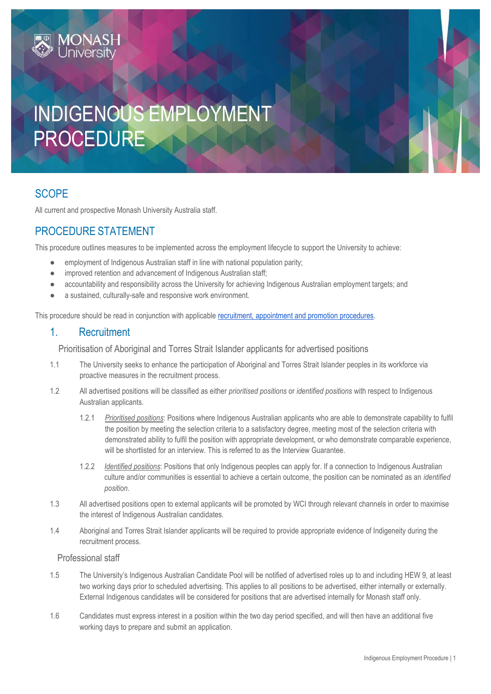# INDIGENOUS EMPLOYMENT PROCEDURE

# **SCOPE**

All current and prospective Monash University Australia staff.

# PROCEDURE STATEMENT

**MONAS** 

This procedure outlines measures to be implemented across the employment lifecycle to support the University to achieve:

- employment of Indigenous Australian staff in line with national population parity;
- improved retention and advancement of Indigenous Australian staff;
- accountability and responsibility across the University for achieving Indigenous Australian employment targets; and
- a sustained, culturally-safe and responsive work environment.

This procedure should be read in conjunction with applicabl[e recruitment, appointment and promotion procedures.](https://www.monash.edu/policy-bank/workplace-policy)

## 1. Recruitment

Prioritisation of Aboriginal and Torres Strait Islander applicants for advertised positions

- 1.1 The University seeks to enhance the participation of Aboriginal and Torres Strait Islander peoples in its workforce via proactive measures in the recruitment process.
- 1.2 All advertised positions will be classified as either *prioritised positions* or *identified positions* with respect to Indigenous Australian applicants.
	- 1.2.1 *Prioritised positions*: Positions where Indigenous Australian applicants who are able to demonstrate capability to fulfil the position by meeting the selection criteria to a satisfactory degree, meeting most of the selection criteria with demonstrated ability to fulfil the position with appropriate development, or who demonstrate comparable experience, will be shortlisted for an interview. This is referred to as the Interview Guarantee.
	- 1.2.2 *Identified positions*: Positions that only Indigenous peoples can apply for. If a connection to Indigenous Australian culture and/or communities is essential to achieve a certain outcome, the position can be nominated as an *identified position*.
- 1.3 All advertised positions open to external applicants will be promoted by WCI through relevant channels in order to maximise the interest of Indigenous Australian candidates.
- 1.4 Aboriginal and Torres Strait Islander applicants will be required to provide appropriate evidence of Indigeneity during the recruitment process.

### Professional staff

- 1.5 The University's Indigenous Australian Candidate Pool will be notified of advertised roles up to and including HEW 9, at least two working days prior to scheduled advertising. This applies to all positions to be advertised, either internally or externally. External Indigenous candidates will be considered for positions that are advertised internally for Monash staff only.
- 1.6 Candidates must express interest in a position within the two day period specified, and will then have an additional five working days to prepare and submit an application.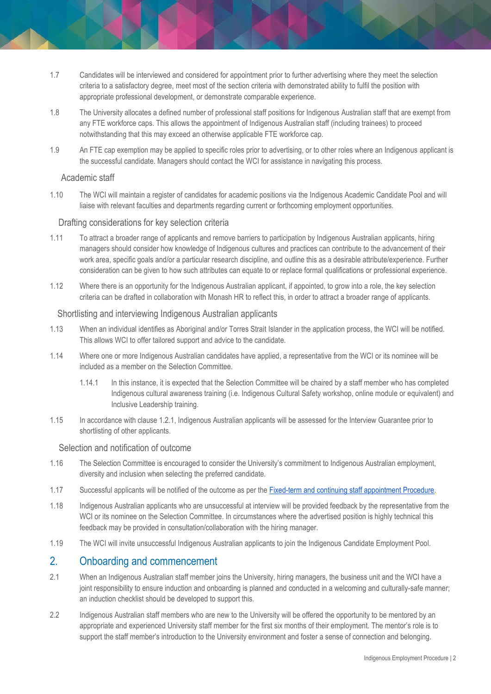- 1.7 Candidates will be interviewed and considered for appointment prior to further advertising where they meet the selection criteria to a satisfactory degree, meet most of the section criteria with demonstrated ability to fulfil the position with appropriate professional development, or demonstrate comparable experience.
- 1.8 The University allocates a defined number of professional staff positions for Indigenous Australian staff that are exempt from any FTE workforce caps. This allows the appointment of Indigenous Australian staff (including trainees) to proceed notwithstanding that this may exceed an otherwise applicable FTE workforce cap.
- 1.9 An FTE cap exemption may be applied to specific roles prior to advertising, or to other roles where an Indigenous applicant is the successful candidate. Managers should contact the WCI for assistance in navigating this process.

#### Academic staff

1.10 The WCI will maintain a register of candidates for academic positions via the Indigenous Academic Candidate Pool and will liaise with relevant faculties and departments regarding current or forthcoming employment opportunities.

### Drafting considerations for key selection criteria

- 1.11 To attract a broader range of applicants and remove barriers to participation by Indigenous Australian applicants, hiring managers should consider how knowledge of Indigenous cultures and practices can contribute to the advancement of their work area, specific goals and/or a particular research discipline, and outline this as a desirable attribute/experience. Further consideration can be given to how such attributes can equate to or replace formal qualifications or professional experience.
- 1.12 Where there is an opportunity for the Indigenous Australian applicant, if appointed, to grow into a role, the key selection criteria can be drafted in collaboration with Monash HR to reflect this, in order to attract a broader range of applicants.

#### Shortlisting and interviewing Indigenous Australian applicants

- 1.13 When an individual identifies as Aboriginal and/or Torres Strait Islander in the application process, the WCI will be notified. This allows WCI to offer tailored support and advice to the candidate.
- 1.14 Where one or more Indigenous Australian candidates have applied, a representative from the WCI or its nominee will be included as a member on the Selection Committee.
	- 1.14.1 In this instance, it is expected that the Selection Committee will be chaired by a staff member who has completed Indigenous cultural awareness training (i.e. Indigenous Cultural Safety workshop, online module or equivalent) and Inclusive Leadership training.
- 1.15 In accordance with clause 1.2.1, Indigenous Australian applicants will be assessed for the Interview Guarantee prior to shortlisting of other applicants.

#### Selection and notification of outcome

- 1.16 The Selection Committee is encouraged to consider the University's commitment to Indigenous Australian employment, diversity and inclusion when selecting the preferred candidate.
- 1.17 Successful applicants will be notified of the outcome as per the [Fixed-term and continuing staff appointment Procedure.](https://publicpolicydms.monash.edu/Monash/documents/1935716)
- 1.18 Indigenous Australian applicants who are unsuccessful at interview will be provided feedback by the representative from the WCI or its nominee on the Selection Committee. In circumstances where the advertised position is highly technical this feedback may be provided in consultation/collaboration with the hiring manager.
- 1.19 The WCI will invite unsuccessful Indigenous Australian applicants to join the Indigenous Candidate Employment Pool.

## 2. Onboarding and commencement

- 2.1 When an Indigenous Australian staff member joins the University, hiring managers, the business unit and the WCI have a joint responsibility to ensure induction and onboarding is planned and conducted in a welcoming and culturally-safe manner; an induction checklist should be developed to support this.
- 2.2 Indigenous Australian staff members who are new to the University will be offered the opportunity to be mentored by an appropriate and experienced University staff member for the first six months of their employment. The mentor's role is to support the staff member's introduction to the University environment and foster a sense of connection and belonging.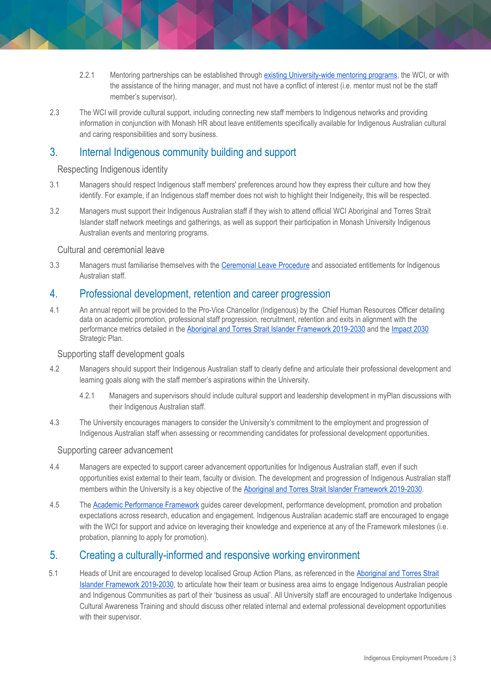- 2.2.1 Mentoring partnerships can be established throug[h existing University-wide](https://www.monash.edu/about/mentoring) [mentoring programs,](https://www.monash.edu/about/mentoring) the WCI, or with the assistance of the hiring manager, and must not have a conflict of interest (i.e. mentor must not be the staff member's supervisor).
- 2.3 The WCI will provide cultural support, including connecting new staff members to Indigenous networks and providing information in conjunction with Monash HR about leave entitlements specifically available for Indigenous Australian cultural and caring responsibilities and sorry business.

## 3. Internal Indigenous community building and support

## Respecting Indigenous identity

- 3.1 Managers should respect Indigenous staff members' preferences around how they express their culture and how they identify. For example, if an Indigenous staff member does not wish to highlight their Indigeneity, this will be respected.
- 3.2 Managers must support their Indigenous Australian staff if they wish to attend official WCI Aboriginal and Torres Strait Islander staff network meetings and gatherings, as well as support their participation in Monash University Indigenous Australian events and mentoring programs.

## Cultural and ceremonial leave

3.3 Managers must familiarise themselves with the [Ceremonial](https://publicpolicydms.monash.edu/Monash/documents/1935667) [Leave Procedure](https://www.monash.edu/__data/assets/pdf_file/0011/1733627/Ceremonial-Leave.pdf) and associated entitlements for Indigenous Australian staff.

## 4. Professional development, retention and career progression

4.1 An annual report will be provided to the Pro-Vice Chancellor (Indigenous) by the Chief Human Resources Officer detailing data on academic promotion, professional staff progression, recruitment, retention and exits in alignment with the performance metrics detailed in the [Aboriginal and Torres Strait Islander Framework 2019-2030](https://www.monash.edu/__data/assets/pdf_file/0005/1573502/18P-0628-Indigenous-Framework-Monash-University.pdf) and the [Impact 2030](https://www.monash.edu/about/strategic-direction/strategic-plan) Strategic Plan.

### Supporting staff development goals

- 4.2 Managers should support their Indigenous Australian staff to clearly define and articulate their professional development and learning goals along with the staff member's aspirations within the University.
	- 4.2.1 Managers and supervisors should include cultural support and leadership development in myPlan discussions with their Indigenous Australian staff.
- 4.3 The University encourages managers to consider the University's commitment to the employment and progression of Indigenous Australian staff when assessing or recommending candidates for professional development opportunities.

### Supporting career advancement

- 4.4 Managers are expected to support career advancement opportunities for Indigenous Australian staff, even if such opportunities exist external to their team, faculty or division. The development and progression of Indigenous Australian staff members within the University is a key objective of th[e Aboriginal and Torres Strait Islander Framework 2019-2030.](https://www.monash.edu/__data/assets/pdf_file/0005/1573502/18P-0628-Indigenous-Framework-Monash-University.pdf)
- 4.5 The [Academic Performance Framework](https://www.monash.edu/academicpromotion/academic-performance-framework) guides career development, performance development, promotion and probation expectations across research, education and engagement. Indigenous Australian academic staff are encouraged to engage with the WCI for support and advice on leveraging their knowledge and experience at any of the Framework milestones (i.e. probation, planning to apply for promotion).

## 5. Creating a culturally-informed and responsive working environment

5.1 Heads of Unit are encouraged to develop localised Group Action Plans, as referenced in th[e Aboriginal and Torres Strait](https://www.monash.edu/__data/assets/pdf_file/0005/1573502/18P-0628-Indigenous-Framework-Monash-University.pdf)  [Islander Framework 2019-2030,](https://www.monash.edu/__data/assets/pdf_file/0005/1573502/18P-0628-Indigenous-Framework-Monash-University.pdf) to articulate how their team or business area aims to engage Indigenous Australian people and Indigenous Communities as part of their 'business as usual'. All University staff are encouraged to undertake Indigenous Cultural Awareness Training and should discuss other related internal and external professional development opportunities with their supervisor.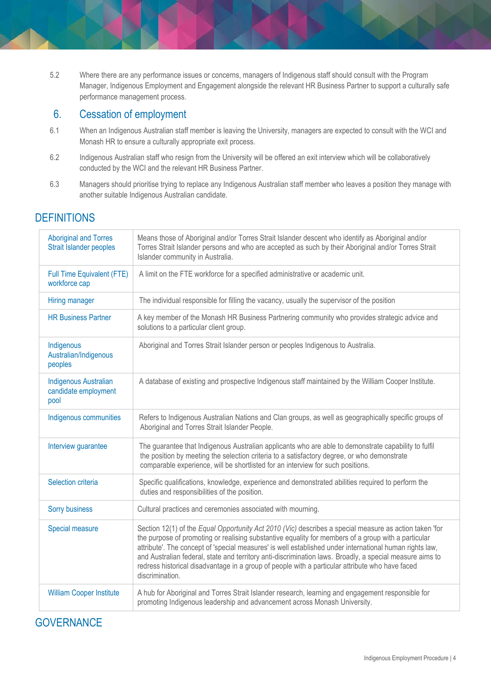5.2 Where there are any performance issues or concerns, managers of Indigenous staff should consult with the Program Manager, Indigenous Employment and Engagement alongside the relevant HR Business Partner to support a culturally safe performance management process.

## 6. Cessation of employment

- 6.1 When an Indigenous Australian staff member is leaving the University, managers are expected to consult with the WCI and Monash HR to ensure a culturally appropriate exit process.
- 6.2 Indigenous Australian staff who resign from the University will be offered an exit interview which will be collaboratively conducted by the WCI and the relevant HR Business Partner.
- 6.3 Managers should prioritise trying to replace any Indigenous Australian staff member who leaves a position they manage with another suitable Indigenous Australian candidate.

# **DEFINITIONS**

| <b>Aboriginal and Torres</b><br>Strait Islander peoples      | Means those of Aboriginal and/or Torres Strait Islander descent who identify as Aboriginal and/or<br>Torres Strait Islander persons and who are accepted as such by their Aboriginal and/or Torres Strait<br>Islander community in Australia.                                                                                                                                                                                                                                                                                                              |
|--------------------------------------------------------------|------------------------------------------------------------------------------------------------------------------------------------------------------------------------------------------------------------------------------------------------------------------------------------------------------------------------------------------------------------------------------------------------------------------------------------------------------------------------------------------------------------------------------------------------------------|
| Full Time Equivalent (FTE)<br>workforce cap                  | A limit on the FTE workforce for a specified administrative or academic unit.                                                                                                                                                                                                                                                                                                                                                                                                                                                                              |
| Hiring manager                                               | The individual responsible for filling the vacancy, usually the supervisor of the position                                                                                                                                                                                                                                                                                                                                                                                                                                                                 |
| <b>HR Business Partner</b>                                   | A key member of the Monash HR Business Partnering community who provides strategic advice and<br>solutions to a particular client group.                                                                                                                                                                                                                                                                                                                                                                                                                   |
| Indigenous<br>Australian/Indigenous<br>peoples               | Aboriginal and Torres Strait Islander person or peoples Indigenous to Australia.                                                                                                                                                                                                                                                                                                                                                                                                                                                                           |
| <b>Indigenous Australian</b><br>candidate employment<br>pool | A database of existing and prospective Indigenous staff maintained by the William Cooper Institute.                                                                                                                                                                                                                                                                                                                                                                                                                                                        |
| Indigenous communities                                       | Refers to Indigenous Australian Nations and Clan groups, as well as geographically specific groups of<br>Aboriginal and Torres Strait Islander People.                                                                                                                                                                                                                                                                                                                                                                                                     |
| Interview guarantee                                          | The guarantee that Indigenous Australian applicants who are able to demonstrate capability to fulfil<br>the position by meeting the selection criteria to a satisfactory degree, or who demonstrate<br>comparable experience, will be shortlisted for an interview for such positions.                                                                                                                                                                                                                                                                     |
| Selection criteria                                           | Specific qualifications, knowledge, experience and demonstrated abilities required to perform the<br>duties and responsibilities of the position.                                                                                                                                                                                                                                                                                                                                                                                                          |
| <b>Sorry business</b>                                        | Cultural practices and ceremonies associated with mourning.                                                                                                                                                                                                                                                                                                                                                                                                                                                                                                |
| Special measure                                              | Section 12(1) of the Equal Opportunity Act 2010 (Vic) describes a special measure as action taken 'for<br>the purpose of promoting or realising substantive equality for members of a group with a particular<br>attribute'. The concept of 'special measures' is well established under international human rights law,<br>and Australian federal, state and territory anti-discrimination laws. Broadly, a special measure aims to<br>redress historical disadvantage in a group of people with a particular attribute who have faced<br>discrimination. |
| <b>William Cooper Institute</b>                              | A hub for Aboriginal and Torres Strait Islander research, learning and engagement responsible for<br>promoting Indigenous leadership and advancement across Monash University.                                                                                                                                                                                                                                                                                                                                                                             |